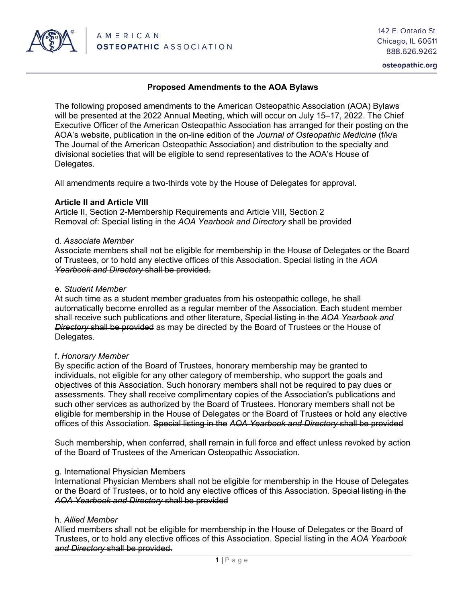

osteopathic.org

## **Proposed Amendments to the AOA Bylaws**

The following proposed amendments to the American Osteopathic Association (AOA) Bylaws will be presented at the 2022 Annual Meeting, which will occur on July 15–17, 2022. The Chief Executive Officer of the American Osteopathic Association has arranged for their posting on the AOA's website, publication in the on-line edition of the *Journal of Osteopathic Medicine* (f/k/a The Journal of the American Osteopathic Association) and distribution to the specialty and divisional societies that will be eligible to send representatives to the AOA's House of Delegates.

All amendments require a two-thirds vote by the House of Delegates for approval.

### **Article II and Article VIII**

Article II, Section 2-Membership Requirements and Article VIII, Section 2 Removal of: Special listing in the *AOA Yearbook and Directory* shall be provided

### d. *Associate Member*

Associate members shall not be eligible for membership in the House of Delegates or the Board of Trustees, or to hold any elective offices of this Association. Special listing in the *AOA Yearbook and Directory* shall be provided.

#### e. *Student Member*

At such time as a student member graduates from his osteopathic college, he shall automatically become enrolled as a regular member of the Association. Each student member shall receive such publications and other literature, Special listing in the *AOA Yearbook and Directory* shall be provided as may be directed by the Board of Trustees or the House of Delegates.

### f. *Honorary Member*

By specific action of the Board of Trustees, honorary membership may be granted to individuals, not eligible for any other category of membership, who support the goals and objectives of this Association. Such honorary members shall not be required to pay dues or assessments. They shall receive complimentary copies of the Association's publications and such other services as authorized by the Board of Trustees. Honorary members shall not be eligible for membership in the House of Delegates or the Board of Trustees or hold any elective offices of this Association. Special listing in the *AOA Yearbook and Directory* shall be provided

Such membership, when conferred, shall remain in full force and effect unless revoked by action of the Board of Trustees of the American Osteopathic Association.

### g. International Physician Members

International Physician Members shall not be eligible for membership in the House of Delegates or the Board of Trustees, or to hold any elective offices of this Association. Special listing in the *AOA Yearbook and Directory* shall be provided

### h. *Allied Member*

Allied members shall not be eligible for membership in the House of Delegates or the Board of Trustees, or to hold any elective offices of this Association. Special listing in the *AOA Yearbook and Directory* shall be provided.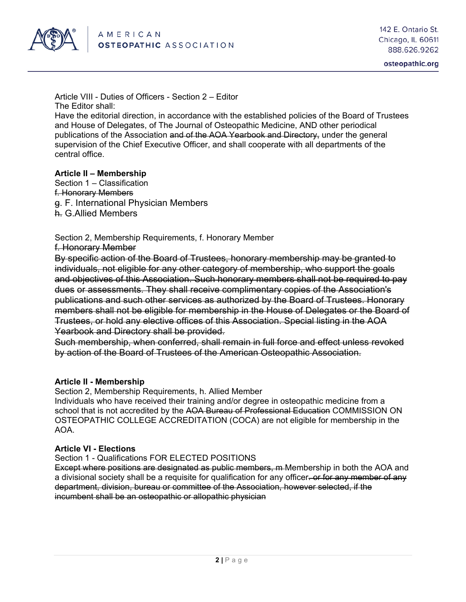

Article VIII - Duties of Officers - Section 2 – Editor The Editor shall:

Have the editorial direction, in accordance with the established policies of the Board of Trustees and House of Delegates, of The Journal of Osteopathic Medicine, AND other periodical publications of the Association and of the AOA Yearbook and Directory, under the general supervision of the Chief Executive Officer, and shall cooperate with all departments of the central office.

### **Article II – Membership**

Section 1 – Classification f. Honorary Members g. F. International Physician Members h. G.Allied Members

Section 2, Membership Requirements, f. Honorary Member f. Honorary Member

By specific action of the Board of Trustees, honorary membership may be granted to individuals, not eligible for any other category of membership, who support the goals and objectives of this Association. Such honorary members shall not be required to pay dues or assessments. They shall receive complimentary copies of the Association's publications and such other services as authorized by the Board of Trustees. Honorary members shall not be eligible for membership in the House of Delegates or the Board of Trustees, or hold any elective offices of this Association. Special listing in the AOA Yearbook and Directory shall be provided.

Such membership, when conferred, shall remain in full force and effect unless revoked by action of the Board of Trustees of the American Osteopathic Association.

### **Article II - Membership**

Section 2, Membership Requirements, h. Allied Member

Individuals who have received their training and/or degree in osteopathic medicine from a school that is not accredited by the AOA Bureau of Professional Education COMMISSION ON OSTEOPATHIC COLLEGE ACCREDITATION (COCA) are not eligible for membership in the AOA.

# **Article VI - Elections**

Section 1 - Qualifications FOR ELECTED POSITIONS

Except where positions are designated as public members, m Membership in both the AOA and a divisional society shall be a requisite for qualification for any officer. or for any member of any department, division, bureau or committee of the Association, however selected, if the incumbent shall be an osteopathic or allopathic physician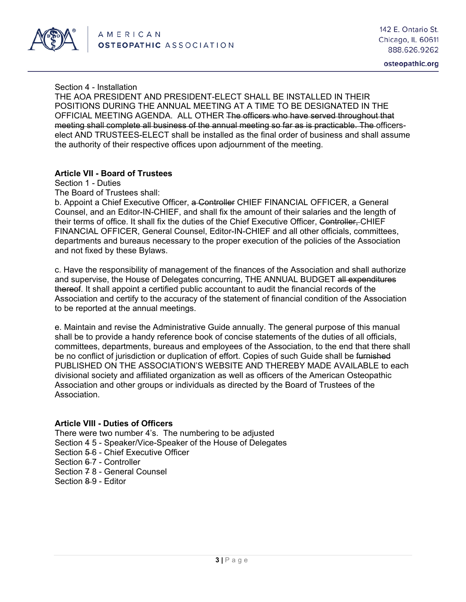

osteopathic.org

Section 4 - Installation

THE AOA PRESIDENT AND PRESIDENT-ELECT SHALL BE INSTALLED IN THEIR POSITIONS DURING THE ANNUAL MEETING AT A TIME TO BE DESIGNATED IN THE OFFICIAL MEETING AGENDA. ALL OTHER The officers who have served throughout that meeting shall complete all business of the annual meeting so far as is practicable. The officerselect AND TRUSTEES-ELECT shall be installed as the final order of business and shall assume the authority of their respective offices upon adjournment of the meeting.

### **Article VII - Board of Trustees**

Section 1 - Duties

The Board of Trustees shall:

b. Appoint a Chief Executive Officer, a Controller CHIEF FINANCIAL OFFICER, a General Counsel, and an Editor-IN-CHIEF, and shall fix the amount of their salaries and the length of their terms of office. It shall fix the duties of the Chief Executive Officer, Controller, CHIEF FINANCIAL OFFICER, General Counsel, Editor-IN-CHIEF and all other officials, committees, departments and bureaus necessary to the proper execution of the policies of the Association and not fixed by these Bylaws.

c. Have the responsibility of management of the finances of the Association and shall authorize and supervise, the House of Delegates concurring, THE ANNUAL BUDGET all expenditures thereof. It shall appoint a certified public accountant to audit the financial records of the Association and certify to the accuracy of the statement of financial condition of the Association to be reported at the annual meetings.

e. Maintain and revise the Administrative Guide annually. The general purpose of this manual shall be to provide a handy reference book of concise statements of the duties of all officials, committees, departments, bureaus and employees of the Association, to the end that there shall be no conflict of jurisdiction or duplication of effort. Copies of such Guide shall be furnished PUBLISHED ON THE ASSOCIATION'S WEBSITE AND THEREBY MADE AVAILABLE to each divisional society and affiliated organization as well as officers of the American Osteopathic Association and other groups or individuals as directed by the Board of Trustees of the **Association** 

# **Article VIII - Duties of Officers**

There were two number 4's. The numbering to be adjusted Section 4 5 - Speaker/Vice-Speaker of the House of Delegates Section 5-6 - Chief Executive Officer Section 6-7 - Controller Section 7 8 - General Counsel Section 8-9 - Editor